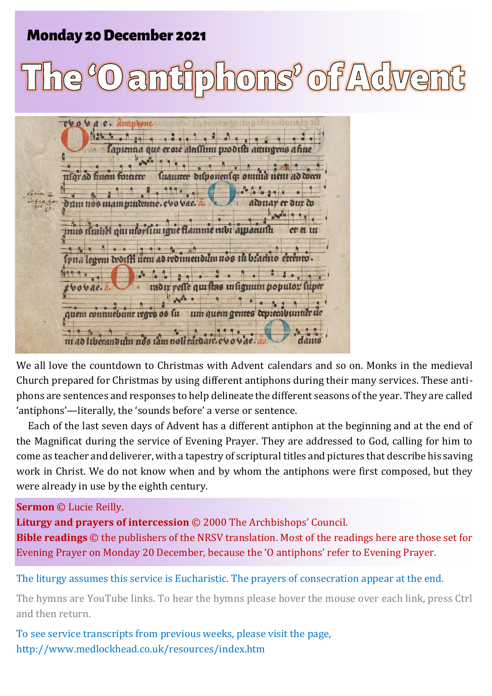# **Monday 20 December 2021**

# ofAdve  $\mathbb{Z}$  homs $^{\mathbb{Z}}$

rvo va e. Antiphone. a fantentia que eroze alustimi prodisti attingens a fine luaunur dılponenlep omnia nem ad toan n ad finem fortater dum nos mam puidentie. aduay et dur di mus drahel qui morsi in igue flamme rubi apparuitu  $\frac{1}{2}$ lvua legem worfti uem ad redimendum nos in brachto errento. tadır reste qui stas in lignum populor luper oovac.a um quem gentes deprecabuntar de quem continebunt regre os lu 444  $\sim$  $\uparrow$ m ad liberandum nos tam noli tardart e vo vae

We all love the countdown to Christmas with Advent calendars and so on. Monks in the medieval Church prepared for Christmas by using different antiphons during their many services. These antiphons are sentences and responses to help delineate the different seasons of the year. They are called 'antiphons'—literally, the 'sounds before' a verse or sentence.

Each of the last seven days of Advent has a different antiphon at the beginning and at the end of the Magnificat during the service of Evening Prayer. They are addressed to God, calling for him to come as teacher and deliverer, with a tapestry of scriptural titles and pictures that describe his saving work in Christ. We do not know when and by whom the antiphons were first composed, but they were already in use by the eighth century.

#### **Sermon** © Lucie Reilly.

**Liturgy and prayers of intercession** © 2000 The Archbishops' Council. **Bible readings** © the publishers of the NRSV translation. Most of the readings here are those set for Evening Prayer on Monday 20 December, because the 'O antiphons' refer to Evening Prayer.

The liturgy assumes this service is Eucharistic. The prayers of consecration appear at the end.

The hymns are YouTube links. To hear the hymns please hover the mouse over each link, press Ctrl and then return.

To see service transcripts from previous weeks, please visit the page, <http://www.medlockhead.co.uk/resources/index.htm>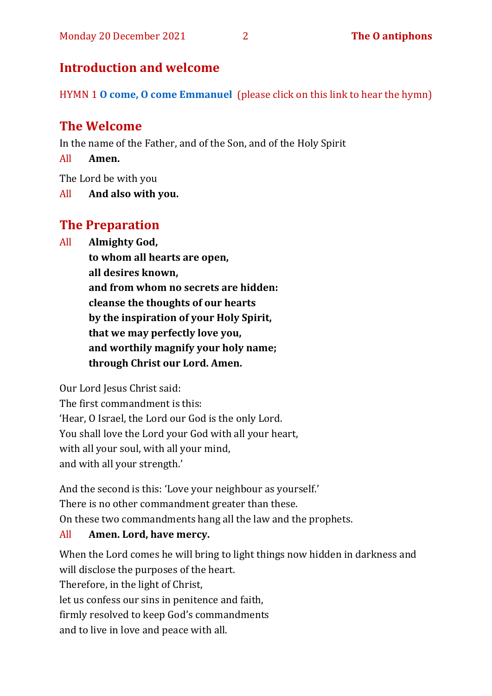# **Introduction and welcome**

HYMN 1 **[O come, O come Emmanuel](https://www.youtube.com/watch?v=DPHh3nMMu-I)** (please click on this link to hear the hymn)

# **The Welcome**

In the name of the Father, and of the Son, and of the Holy Spirit

All **Amen.**

The Lord be with you

All **And also with you.**

# **The Preparation**

All **Almighty God,**

**to whom all hearts are open, all desires known, and from whom no secrets are hidden: cleanse the thoughts of our hearts by the inspiration of your Holy Spirit, that we may perfectly love you, and worthily magnify your holy name; through Christ our Lord. Amen.**

Our Lord Jesus Christ said:

The first commandment is this: 'Hear, O Israel, the Lord our God is the only Lord. You shall love the Lord your God with all your heart, with all your soul, with all your mind, and with all your strength.'

And the second is this: 'Love your neighbour as yourself.' There is no other commandment greater than these. On these two commandments hang all the law and the prophets.

## All **Amen. Lord, have mercy.**

When the Lord comes he will bring to light things now hidden in darkness and will disclose the purposes of the heart. Therefore, in the light of Christ, let us confess our sins in penitence and faith, firmly resolved to keep God's commandments and to live in love and peace with all.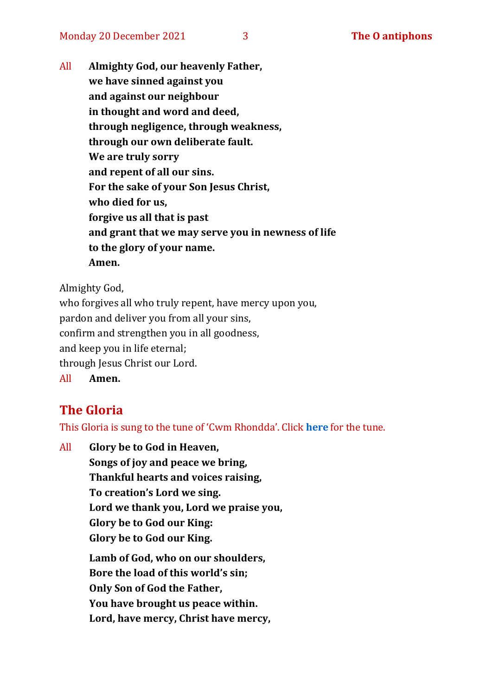All **Almighty God, our heavenly Father, we have sinned against you and against our neighbour in thought and word and deed, through negligence, through weakness, through our own deliberate fault. We are truly sorry and repent of all our sins. For the sake of your Son Jesus Christ, who died for us, forgive us all that is past and grant that we may serve you in newness of life to the glory of your name. Amen.**

Almighty God,

who forgives all who truly repent, have mercy upon you, pardon and deliver you from all your sins, confirm and strengthen you in all goodness, and keep you in life eternal; through Jesus Christ our Lord. All **Amen.**

# **The Gloria**

This Gloria is sung to the tune of 'Cwm Rhondda'. Click **[here](https://www.youtube.com/watch?v=l71MLQ22dIk)** for the tune.

All **Glory be to God in Heaven, Songs of joy and peace we bring, Thankful hearts and voices raising, To creation's Lord we sing. Lord we thank you, Lord we praise you, Glory be to God our King: Glory be to God our King. Lamb of God, who on our shoulders,**

**Bore the load of this world's sin; Only Son of God the Father, You have brought us peace within. Lord, have mercy, Christ have mercy,**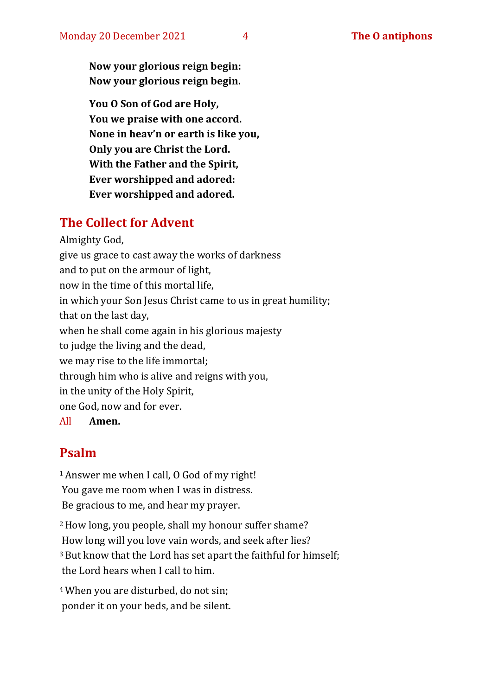**Now your glorious reign begin: Now your glorious reign begin.**

**You O Son of God are Holy, You we praise with one accord. None in heav'n or earth is like you, Only you are Christ the Lord. With the Father and the Spirit, Ever worshipped and adored: Ever worshipped and adored.**

# **The Collect for Advent**

Almighty God, give us grace to cast away the works of darkness and to put on the armour of light, now in the time of this mortal life, in which your Son Jesus Christ came to us in great humility; that on the last day, when he shall come again in his glorious majesty to judge the living and the dead, we may rise to the life immortal; through him who is alive and reigns with you, in the unity of the Holy Spirit, one God, now and for ever.

All **Amen.**

# **Psalm**

<sup>1</sup>Answer me when I call, O God of my right! You gave me room when I was in distress. Be gracious to me, and hear my prayer.

<sup>2</sup>How long, you people, shall my honour suffer shame? How long will you love vain words, and seek after lies? <sup>3</sup> But know that the Lord has set apart the faithful for himself; the Lord hears when I call to him.

<sup>4</sup>When you are disturbed, do not sin; ponder it on your beds, and be silent.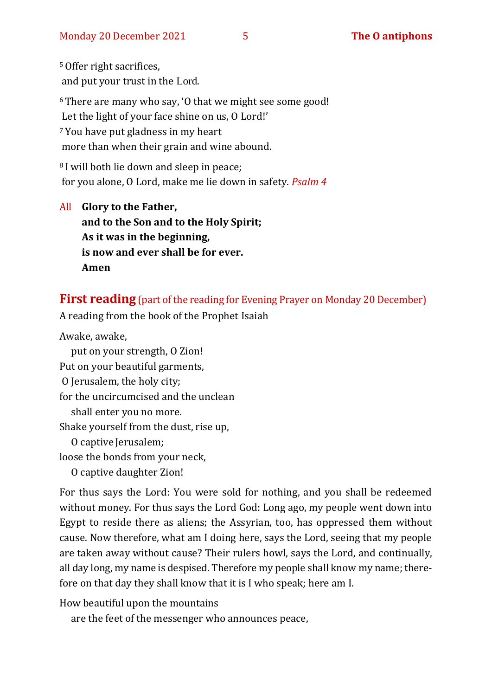<sup>5</sup>Offer right sacrifices, and put your trust in the Lord. <sup>6</sup>There are many who say, 'O that we might see some good! Let the light of your face shine on us, O Lord!' <sup>7</sup> You have put gladness in my heart more than when their grain and wine abound.

<sup>8</sup> I will both lie down and sleep in peace; for you alone, O Lord, make me lie down in safety. *Psalm 4*

All **Glory to the Father, and to the Son and to the Holy Spirit; As it was in the beginning, is now and ever shall be for ever. Amen**

#### **First reading** (part of the reading for Evening Prayer on Monday 20 December)

A reading from the book of the Prophet Isaiah

Awake, awake,

put on your strength, O Zion! Put on your beautiful garments, O Jerusalem, the holy city; for the uncircumcised and the unclean shall enter you no more. Shake yourself from the dust, rise up, O captive Jerusalem; loose the bonds from your neck, O captive daughter Zion!

For thus says the Lord: You were sold for nothing, and you shall be redeemed without money. For thus says the Lord God: Long ago, my people went down into Egypt to reside there as aliens; the Assyrian, too, has oppressed them without cause. Now therefore, what am I doing here, says the Lord, seeing that my people are taken away without cause? Their rulers howl, says the Lord, and continually, all day long, my name is despised. Therefore my people shall know my name; therefore on that day they shall know that it is I who speak; here am I.

How beautiful upon the mountains

are the feet of the messenger who announces peace,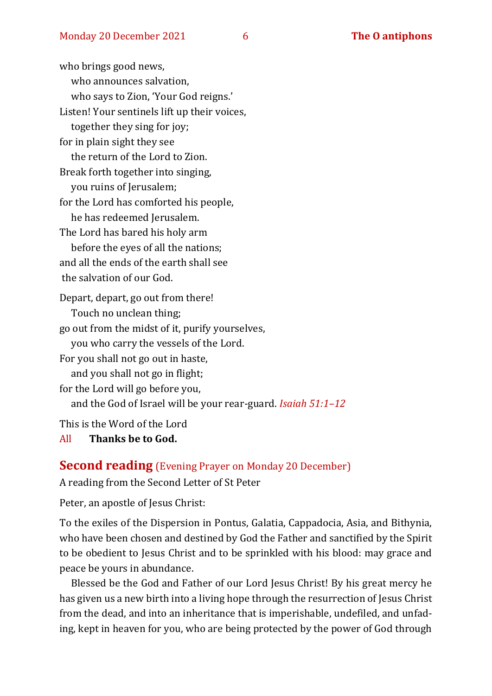who brings good news, who announces salvation, who says to Zion, 'Your God reigns.' Listen! Your sentinels lift up their voices, together they sing for joy; for in plain sight they see the return of the Lord to Zion. Break forth together into singing, you ruins of Jerusalem; for the Lord has comforted his people, he has redeemed Jerusalem. The Lord has bared his holy arm before the eyes of all the nations; and all the ends of the earth shall see the salvation of our God. Depart, depart, go out from there! Touch no unclean thing; go out from the midst of it, purify yourselves, you who carry the vessels of the Lord. For you shall not go out in haste, and you shall not go in flight; for the Lord will go before you, and the God of Israel will be your rear-guard. *Isaiah 51:1–12*

This is the Word of the Lord

All **Thanks be to God.**

#### **Second reading** (Evening Prayer on Monday 20 December)

A reading from the Second Letter of St Peter

Peter, an apostle of Jesus Christ:

To the exiles of the Dispersion in Pontus, Galatia, Cappadocia, Asia, and Bithynia, who have been chosen and destined by God the Father and sanctified by the Spirit to be obedient to Jesus Christ and to be sprinkled with his blood: may grace and peace be yours in abundance.

Blessed be the God and Father of our Lord Jesus Christ! By his great mercy he has given us a new birth into a living hope through the resurrection of Jesus Christ from the dead, and into an inheritance that is imperishable, undefiled, and unfading, kept in heaven for you, who are being protected by the power of God through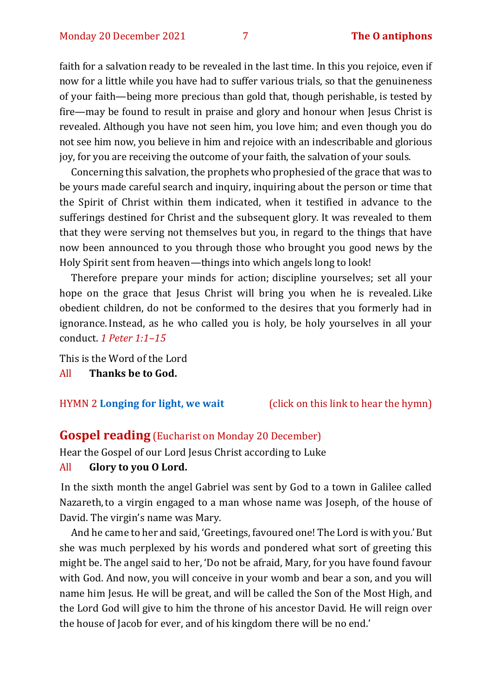faith for a salvation ready to be revealed in the last time. In this you rejoice, even if now for a little while you have had to suffer various trials, so that the genuineness of your faith—being more precious than gold that, though perishable, is tested by fire—may be found to result in praise and glory and honour when Jesus Christ is revealed. Although you have not seen him, you love him; and even though you do not see him now, you believe in him and rejoice with an indescribable and glorious joy, for you are receiving the outcome of your faith, the salvation of your souls.

Concerning this salvation, the prophets who prophesied of the grace that was to be yours made careful search and inquiry, inquiring about the person or time that the Spirit of Christ within them indicated, when it testified in advance to the sufferings destined for Christ and the subsequent glory. It was revealed to them that they were serving not themselves but you, in regard to the things that have now been announced to you through those who brought you good news by the Holy Spirit sent from heaven—things into which angels long to look!

Therefore prepare your minds for action; discipline yourselves; set all your hope on the grace that Jesus Christ will bring you when he is revealed. Like obedient children, do not be conformed to the desires that you formerly had in ignorance.Instead, as he who called you is holy, be holy yourselves in all your conduct. *1 Peter 1:1–15*

This is the Word of the Lord All **Thanks be to God.**

HYMN 2 **[Longing for light, we wait](https://youtu.be/ZJq3bhdgQoc)** (click on this link to hear the hymn)

#### **Gospel reading** (Eucharist on Monday 20 December)

Hear the Gospel of our Lord Jesus Christ according to Luke

#### All **Glory to you O Lord.**

In the sixth month the angel Gabriel was sent by God to a town in Galilee called Nazareth,to a virgin engaged to a man whose name was Joseph, of the house of David. The virgin's name was Mary.

And he came to her and said, 'Greetings, favoured one! The Lord is with you.'But she was much perplexed by his words and pondered what sort of greeting this might be. The angel said to her, 'Do not be afraid, Mary, for you have found favour with God. And now, you will conceive in your womb and bear a son, and you will name him Jesus. He will be great, and will be called the Son of the Most High, and the Lord God will give to him the throne of his ancestor David. He will reign over the house of Jacob for ever, and of his kingdom there will be no end.'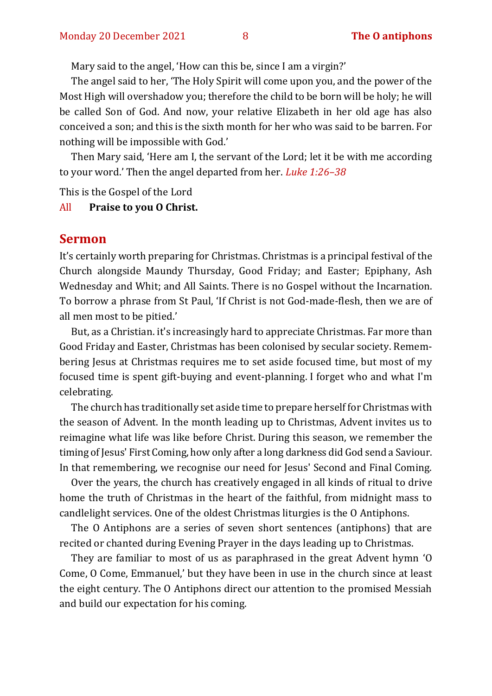Mary said to the angel, 'How can this be, since I am a virgin?'

The angel said to her, 'The Holy Spirit will come upon you, and the power of the Most High will overshadow you; therefore the child to be born will be holy; he will be called Son of God. And now, your relative Elizabeth in her old age has also conceived a son; and this is the sixth month for her who was said to be barren. For nothing will be impossible with God.'

Then Mary said, 'Here am I, the servant of the Lord; let it be with me according to your word.' Then the angel departed from her. *Luke 1:26–38*

This is the Gospel of the Lord

All **Praise to you O Christ.** 

#### **Sermon**

It's certainly worth preparing for Christmas. Christmas is a principal festival of the Church alongside Maundy Thursday, Good Friday; and Easter; Epiphany, Ash Wednesday and Whit; and All Saints. There is no Gospel without the Incarnation. To borrow a phrase from St Paul, 'If Christ is not God-made-flesh, then we are of all men most to be pitied.'

But, as a Christian. it's increasingly hard to appreciate Christmas. Far more than Good Friday and Easter, Christmas has been colonised by secular society. Remembering Jesus at Christmas requires me to set aside focused time, but most of my focused time is spent gift-buying and event-planning. I forget who and what I'm celebrating.

The church has traditionally set aside time to prepare herself for Christmas with the season of Advent. In the month leading up to Christmas, Advent invites us to reimagine what life was like before Christ. During this season, we remember the timing of Jesus' First Coming, how only after a long darkness did God send a Saviour. In that remembering, we recognise our need for Jesus' Second and Final Coming.

Over the years, the church has creatively engaged in all kinds of ritual to drive home the truth of Christmas in the heart of the faithful, from midnight mass to candlelight services. One of the oldest Christmas liturgies is the [O Antiphons.](https://en.wikipedia.org/wiki/O_Antiphons)

The O Antiphons are a series of seven short sentences (antiphons) that are recited or chanted during Evening Prayer in the days leading up to Christmas.

They are familiar to most of us as paraphrased in the great Advent hymn 'O Come, O Come, Emmanuel,' but they have been in use in the church since at least the eight century. The O Antiphons direct our attention to the promised Messiah and build our expectation for his coming.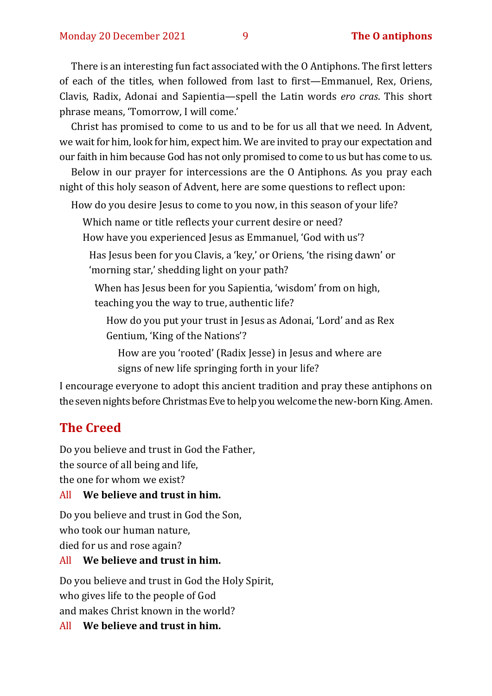There is an interesting fun fact associated with the O Antiphons. The first letters of each of the titles, when followed from last to first—Emmanuel, Rex, Oriens, Clavis, Radix, Adonai and Sapientia—spell the Latin words *ero cras*. This short phrase means, 'Tomorrow, I will come.'

Christ has promised to come to us and to be for us all that we need. In Advent, we wait for him, look for him, expect him. We are invited to pray our expectation and our faith in him because God has not only promised to come to us but has come to us.

Below in our prayer for intercessions are the O Antiphons. As you pray each night of this holy season of Advent, here are some questions to reflect upon:

How do you desire Jesus to come to you now, in this season of your life?

Which name or title reflects your current desire or need?

How have you experienced Jesus as Emmanuel, 'God with us'?

Has Jesus been for you Clavis, a 'key,' or Oriens, 'the rising dawn' or 'morning star,' shedding light on your path?

When has Jesus been for you Sapientia, 'wisdom' from on high, teaching you the way to true, authentic life?

How do you put your trust in Jesus as Adonai, 'Lord' and as Rex Gentium, 'King of the Nations'?

How are you 'rooted' (Radix Jesse) in Jesus and where are signs of new life springing forth in your life?

I encourage everyone to adopt this ancient tradition and pray these antiphons on the seven nights before Christmas Eve to help you welcome the new-born King. Amen.

## **The Creed**

Do you believe and trust in God the Father, the source of all being and life, the one for whom we exist?

#### All **We believe and trust in him.**

Do you believe and trust in God the Son, who took our human nature, died for us and rose again?

#### All **We believe and trust in him.**

Do you believe and trust in God the Holy Spirit, who gives life to the people of God and makes Christ known in the world?

All **We believe and trust in him.**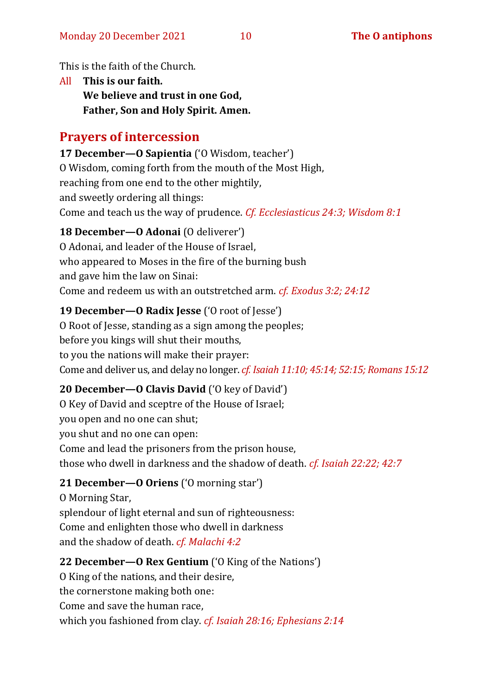This is the faith of the Church.

All **This is our faith. We believe and trust in one God, Father, Son and Holy Spirit. Amen.**

#### **Prayers of intercession**

**17 December—O Sapientia** ('O Wisdom, teacher') O Wisdom, coming forth from the mouth of the Most High, reaching from one end to the other mightily, and sweetly ordering all things: Come and teach us the way of prudence. *Cf. Ecclesiasticus 24:3; Wisdom 8:1*

#### **18 December—O Adonai** (O deliverer')

O Adonai, and leader of the House of Israel, who appeared to Moses in the fire of the burning bush and gave him the law on Sinai: Come and redeem us with an outstretched arm. *cf. Exodus 3:2; 24:12*

#### **19 December—O Radix Jesse** ('O root of Jesse')

O Root of Jesse, standing as a sign among the peoples; before you kings will shut their mouths, to you the nations will make their prayer: Come and deliver us, and delay no longer. *cf. Isaiah 11:10; 45:14; 52:15; Romans 15:12*

#### **20 December—O Clavis David** ('O key of David')

O Key of David and sceptre of the House of Israel; you open and no one can shut; you shut and no one can open: Come and lead the prisoners from the prison house, those who dwell in darkness and the shadow of death. *cf. Isaiah 22:22; 42:7*

#### **21 December—O Oriens** ('O morning star')

O Morning Star, splendour of light eternal and sun of righteousness: Come and enlighten those who dwell in darkness and the shadow of death. *cf. Malachi 4:2*

#### **22 December—O Rex Gentium** ('O King of the Nations')

O King of the nations, and their desire, the cornerstone making both one:

Come and save the human race,

which you fashioned from clay. *cf. Isaiah 28:16; Ephesians 2:14*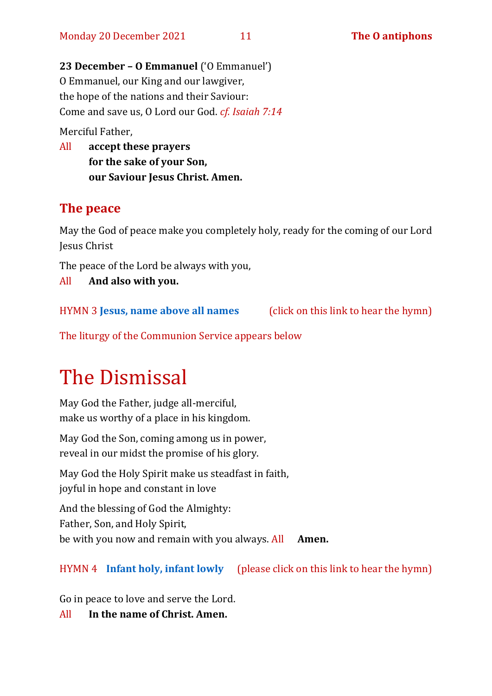**23 December – O Emmanuel** ('O Emmanuel') O Emmanuel, our King and our lawgiver, the hope of the nations and their Saviour: Come and save us, O Lord our God. *cf. Isaiah 7:14*

Merciful Father,

All **accept these prayers for the sake of your Son, our Saviour Jesus Christ. Amen.**

#### **The peace**

May the God of peace make you completely holy, ready for the coming of our Lord Jesus Christ

The peace of the Lord be always with you,

All **And also with you.**

HYMN 3 **[Jesus, name above all names](https://www.youtube.com/watch?v=JEBAHFFJdW8)** (click on this link to hear the hymn)

The liturgy of the Communion Service appears below

# The Dismissal

May God the Father, judge all-merciful, make us worthy of a place in his kingdom.

May God the Son, coming among us in power, reveal in our midst the promise of his glory.

May God the Holy Spirit make us steadfast in faith, joyful in hope and constant in love

And the blessing of God the Almighty: Father, Son, and Holy Spirit, be with you now and remain with you always. All **Amen.**

HYMN 4 **[Infant holy, infant lowly](https://www.youtube.com/watch?v=gwWXOrqxT00)** (please click on this link to hear the hymn)

Go in peace to love and serve the Lord.

All **In the name of Christ. Amen.**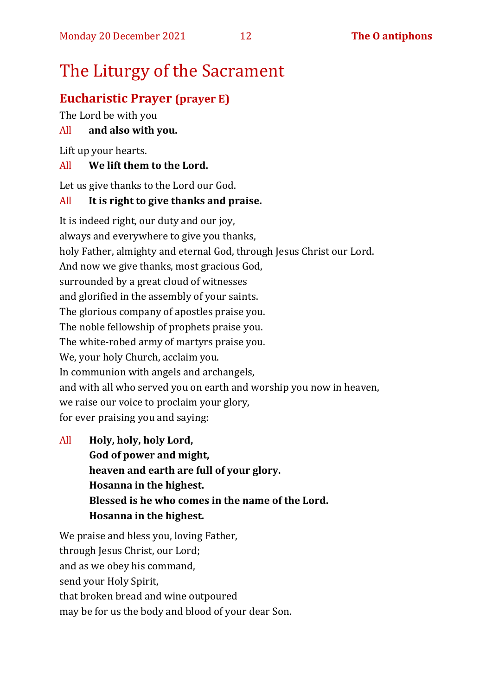# The Liturgy of the Sacrament

# **Eucharistic Prayer (prayer E)**

The Lord be with you

# All **and also with you.**

Lift up your hearts.

## All **We lift them to the Lord.**

Let us give thanks to the Lord our God.

## All **It is right to give thanks and praise.**

It is indeed right, our duty and our joy, always and everywhere to give you thanks, holy Father, almighty and eternal God, through Jesus Christ our Lord. And now we give thanks, most gracious God, surrounded by a great cloud of witnesses and glorified in the assembly of your saints. The glorious company of apostles praise you. The noble fellowship of prophets praise you. The white-robed army of martyrs praise you. We, your holy Church, acclaim you. In communion with angels and archangels, and with all who served you on earth and worship you now in heaven, we raise our voice to proclaim your glory, for ever praising you and saying:

All **Holy, holy, holy Lord, God of power and might, heaven and earth are full of your glory. Hosanna in the highest. Blessed is he who comes in the name of the Lord. Hosanna in the highest.**

We praise and bless you, loving Father, through Jesus Christ, our Lord; and as we obey his command, send your Holy Spirit, that broken bread and wine outpoured may be for us the body and blood of your dear Son.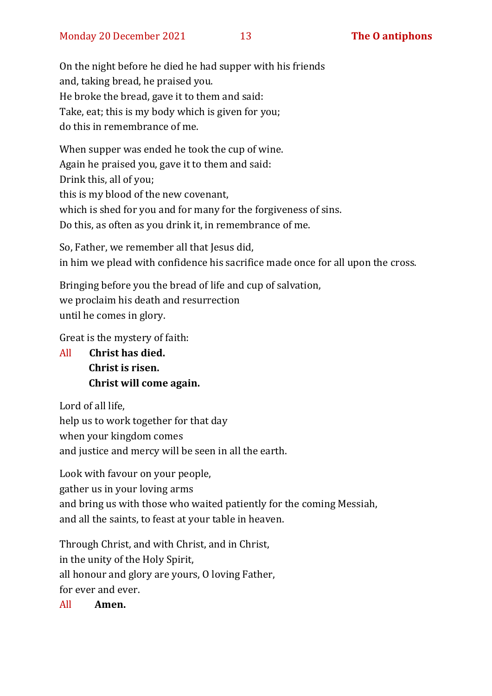On the night before he died he had supper with his friends and, taking bread, he praised you. He broke the bread, gave it to them and said: Take, eat; this is my body which is given for you; do this in remembrance of me.

When supper was ended he took the cup of wine. Again he praised you, gave it to them and said: Drink this, all of you; this is my blood of the new covenant, which is shed for you and for many for the forgiveness of sins. Do this, as often as you drink it, in remembrance of me.

So, Father, we remember all that Jesus did, in him we plead with confidence his sacrifice made once for all upon the cross.

Bringing before you the bread of life and cup of salvation, we proclaim his death and resurrection until he comes in glory.

Great is the mystery of faith:

All **Christ has died. Christ is risen. Christ will come again.**

Lord of all life, help us to work together for that day when your kingdom comes and justice and mercy will be seen in all the earth.

Look with favour on your people, gather us in your loving arms and bring us with those who waited patiently for the coming Messiah, and all the saints, to feast at your table in heaven.

Through Christ, and with Christ, and in Christ, in the unity of the Holy Spirit, all honour and glory are yours, O loving Father, for ever and ever.

All **Amen.**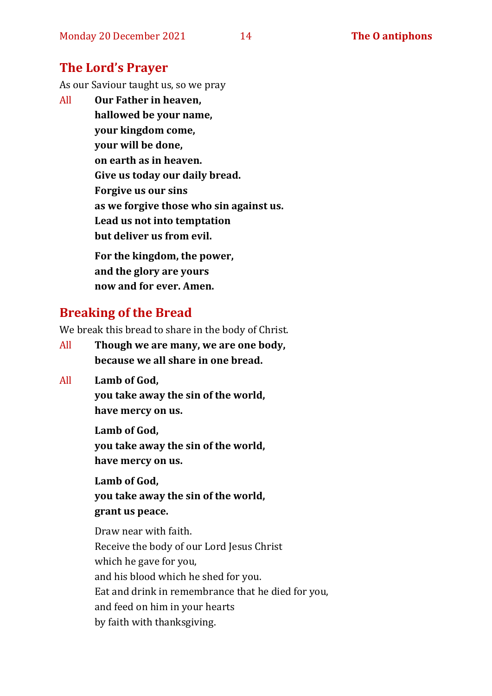## **The Lord's Prayer**

As our Saviour taught us, so we pray

All **Our Father in heaven, hallowed be your name, your kingdom come, your will be done, on earth as in heaven. Give us today our daily bread. Forgive us our sins as we forgive those who sin against us. Lead us not into temptation but deliver us from evil. For the kingdom, the power,** 

**and the glory are yours now and for ever. Amen.**

# **Breaking of the Bread**

We break this bread to share in the body of Christ.

- All **Though we are many, we are one body, because we all share in one bread.**
- All **Lamb of God,**

**you take away the sin of the world, have mercy on us.**

**Lamb of God, you take away the sin of the world, have mercy on us.**

**Lamb of God, you take away the sin of the world, grant us peace.**

Draw near with faith. Receive the body of our Lord Jesus Christ which he gave for you, and his blood which he shed for you. Eat and drink in remembrance that he died for you, and feed on him in your hearts by faith with thanksgiving.